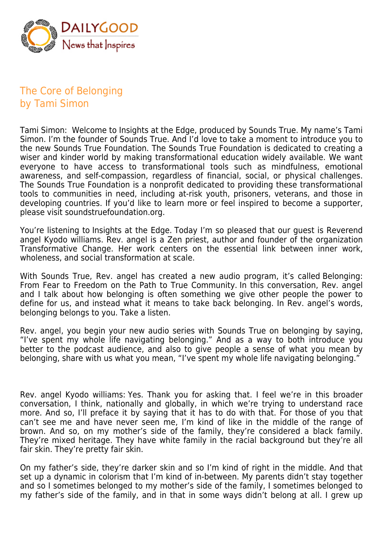

## The Core of Belonging by Tami Simon

Tami Simon: Welcome to Insights at the Edge, produced by Sounds True. My name's Tami Simon. I'm the founder of Sounds True. And I'd love to take a moment to introduce you to the new Sounds True Foundation. The Sounds True Foundation is dedicated to creating a wiser and kinder world by making transformational education widely available. We want everyone to have access to transformational tools such as mindfulness, emotional awareness, and self-compassion, regardless of financial, social, or physical challenges. The Sounds True Foundation is a nonprofit dedicated to providing these transformational tools to communities in need, including at-risk youth, prisoners, veterans, and those in developing countries. If you'd like to learn more or feel inspired to become a supporter, please visit soundstruefoundation.org.

You're listening to Insights at the Edge. Today I'm so pleased that our guest is Reverend angel Kyodo williams. Rev. angel is a Zen priest, author and founder of the organization Transformative Change. Her work centers on the essential link between inner work, wholeness, and social transformation at scale.

With Sounds True, Rev. angel has created a new audio program, it's called Belonging: From Fear to Freedom on the Path to True Community. In this conversation, Rev. angel and I talk about how belonging is often something we give other people the power to define for us, and instead what it means to take back belonging. In Rev. angel's words. belonging belongs to you. Take a listen.

Rev. angel, you begin your new audio series with Sounds True on belonging by saying, "I've spent my whole life navigating belonging." And as a way to both introduce you better to the podcast audience, and also to give people a sense of what you mean by belonging, share with us what you mean, "I've spent my whole life navigating belonging."

Rev. angel Kyodo williams: Yes. Thank you for asking that. I feel we're in this broader conversation, I think, nationally and globally, in which we're trying to understand race more. And so, I'll preface it by saying that it has to do with that. For those of you that can't see me and have never seen me, I'm kind of like in the middle of the range of brown. And so, on my mother's side of the family, they're considered a black family. They're mixed heritage. They have white family in the racial background but they're all fair skin. They're pretty fair skin.

On my father's side, they're darker skin and so I'm kind of right in the middle. And that set up a dynamic in colorism that I'm kind of in-between. My parents didn't stay together and so I sometimes belonged to my mother's side of the family, I sometimes belonged to my father's side of the family, and in that in some ways didn't belong at all. I grew up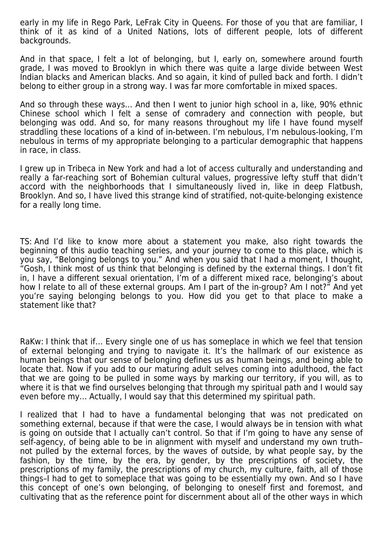early in my life in Rego Park, LeFrak City in Queens. For those of you that are familiar, I think of it as kind of a United Nations, lots of different people, lots of different backgrounds.

And in that space, I felt a lot of belonging, but I, early on, somewhere around fourth grade, I was moved to Brooklyn in which there was quite a large divide between West Indian blacks and American blacks. And so again, it kind of pulled back and forth. I didn't belong to either group in a strong way. I was far more comfortable in mixed spaces.

And so through these ways… And then I went to junior high school in a, like, 90% ethnic Chinese school which I felt a sense of comradery and connection with people, but belonging was odd. And so, for many reasons throughout my life I have found myself straddling these locations of a kind of in-between. I'm nebulous, I'm nebulous-looking, I'm nebulous in terms of my appropriate belonging to a particular demographic that happens in race, in class.

I grew up in Tribeca in New York and had a lot of access culturally and understanding and really a far-reaching sort of Bohemian cultural values, progressive lefty stuff that didn't accord with the neighborhoods that I simultaneously lived in, like in deep Flatbush, Brooklyn. And so, I have lived this strange kind of stratified, not-quite-belonging existence for a really long time.

TS: And I'd like to know more about a statement you make, also right towards the beginning of this audio teaching series, and your journey to come to this place, which is you say, "Belonging belongs to you." And when you said that I had a moment, I thought, "Gosh, I think most of us think that belonging is defined by the external things. I don't fit in, I have a different sexual orientation, I'm of a different mixed race, belonging's about how I relate to all of these external groups. Am I part of the in-group? Am I not?" And yet you're saying belonging belongs to you. How did you get to that place to make a statement like that?

RaKw: I think that if… Every single one of us has someplace in which we feel that tension of external belonging and trying to navigate it. It's the hallmark of our existence as human beings that our sense of belonging defines us as human beings, and being able to locate that. Now if you add to our maturing adult selves coming into adulthood, the fact that we are going to be pulled in some ways by marking our territory, if you will, as to where it is that we find ourselves belonging that through my spiritual path and I would say even before my… Actually, I would say that this determined my spiritual path.

I realized that I had to have a fundamental belonging that was not predicated on something external, because if that were the case, I would always be in tension with what is going on outside that I actually can't control. So that if I'm going to have any sense of self-agency, of being able to be in alignment with myself and understand my own truth– not pulled by the external forces, by the waves of outside, by what people say, by the fashion, by the time, by the era, by gender, by the prescriptions of society, the prescriptions of my family, the prescriptions of my church, my culture, faith, all of those things–I had to get to someplace that was going to be essentially my own. And so I have this concept of one's own belonging, of belonging to oneself first and foremost, and cultivating that as the reference point for discernment about all of the other ways in which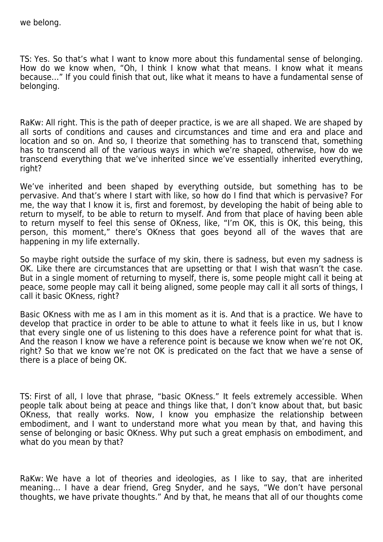TS: Yes. So that's what I want to know more about this fundamental sense of belonging. How do we know when, "Oh, I think I know what that means. I know what it means because…" If you could finish that out, like what it means to have a fundamental sense of belonging.

RaKw: All right. This is the path of deeper practice, is we are all shaped. We are shaped by all sorts of conditions and causes and circumstances and time and era and place and location and so on. And so, I theorize that something has to transcend that, something has to transcend all of the various ways in which we're shaped, otherwise, how do we transcend everything that we've inherited since we've essentially inherited everything, right?

We've inherited and been shaped by everything outside, but something has to be pervasive. And that's where I start with like, so how do I find that which is pervasive? For me, the way that I know it is, first and foremost, by developing the habit of being able to return to myself, to be able to return to myself. And from that place of having been able to return myself to feel this sense of OKness, like, "I'm OK, this is OK, this being, this person, this moment," there's OKness that goes beyond all of the waves that are happening in my life externally.

So maybe right outside the surface of my skin, there is sadness, but even my sadness is OK. Like there are circumstances that are upsetting or that I wish that wasn't the case. But in a single moment of returning to myself, there is, some people might call it being at peace, some people may call it being aligned, some people may call it all sorts of things, I call it basic OKness, right?

Basic OKness with me as I am in this moment as it is. And that is a practice. We have to develop that practice in order to be able to attune to what it feels like in us, but I know that every single one of us listening to this does have a reference point for what that is. And the reason I know we have a reference point is because we know when we're not OK, right? So that we know we're not OK is predicated on the fact that we have a sense of there is a place of being OK.

TS: First of all, I love that phrase, "basic OKness." It feels extremely accessible. When people talk about being at peace and things like that, I don't know about that, but basic OKness, that really works. Now, I know you emphasize the relationship between embodiment, and I want to understand more what you mean by that, and having this sense of belonging or basic OKness. Why put such a great emphasis on embodiment, and what do you mean by that?

RaKw: We have a lot of theories and ideologies, as I like to say, that are inherited meaning… I have a dear friend, Greg Snyder, and he says, "We don't have personal thoughts, we have private thoughts." And by that, he means that all of our thoughts come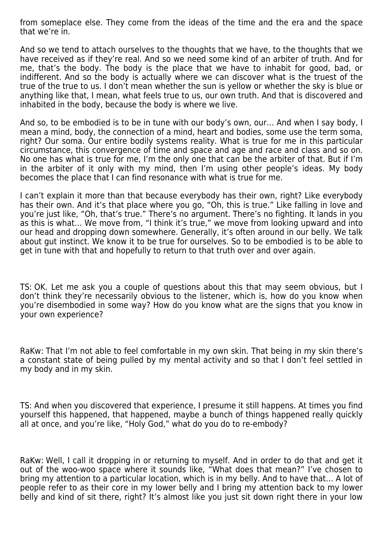from someplace else. They come from the ideas of the time and the era and the space that we're in.

And so we tend to attach ourselves to the thoughts that we have, to the thoughts that we have received as if they're real. And so we need some kind of an arbiter of truth. And for me, that's the body. The body is the place that we have to inhabit for good, bad, or indifferent. And so the body is actually where we can discover what is the truest of the true of the true to us. I don't mean whether the sun is yellow or whether the sky is blue or anything like that, I mean, what feels true to us, our own truth. And that is discovered and inhabited in the body, because the body is where we live.

And so, to be embodied is to be in tune with our body's own, our… And when I say body, I mean a mind, body, the connection of a mind, heart and bodies, some use the term soma, right? Our soma. Our entire bodily systems reality. What is true for me in this particular circumstance, this convergence of time and space and age and race and class and so on. No one has what is true for me, I'm the only one that can be the arbiter of that. But if I'm in the arbiter of it only with my mind, then I'm using other people's ideas. My body becomes the place that I can find resonance with what is true for me.

I can't explain it more than that because everybody has their own, right? Like everybody has their own. And it's that place where you go, "Oh, this is true." Like falling in love and you're just like, "Oh, that's true." There's no argument. There's no fighting. It lands in you as this is what… We move from, "I think it's true," we move from looking upward and into our head and dropping down somewhere. Generally, it's often around in our belly. We talk about gut instinct. We know it to be true for ourselves. So to be embodied is to be able to get in tune with that and hopefully to return to that truth over and over again.

TS: OK. Let me ask you a couple of questions about this that may seem obvious, but I don't think they're necessarily obvious to the listener, which is, how do you know when you're disembodied in some way? How do you know what are the signs that you know in your own experience?

RaKw: That I'm not able to feel comfortable in my own skin. That being in my skin there's a constant state of being pulled by my mental activity and so that I don't feel settled in my body and in my skin.

TS: And when you discovered that experience, I presume it still happens. At times you find yourself this happened, that happened, maybe a bunch of things happened really quickly all at once, and you're like, "Holy God," what do you do to re-embody?

RaKw: Well, I call it dropping in or returning to myself. And in order to do that and get it out of the woo-woo space where it sounds like, "What does that mean?" I've chosen to bring my attention to a particular location, which is in my belly. And to have that… A lot of people refer to as their core in my lower belly and I bring my attention back to my lower belly and kind of sit there, right? It's almost like you just sit down right there in your low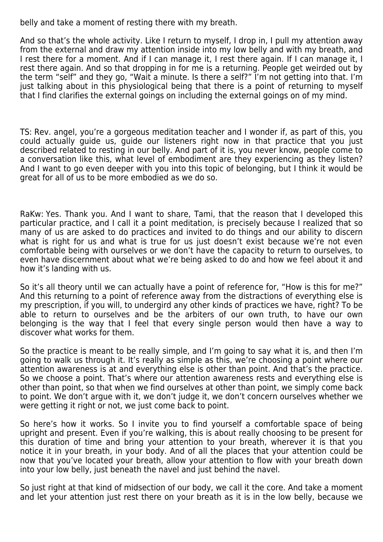belly and take a moment of resting there with my breath.

And so that's the whole activity. Like I return to myself, I drop in, I pull my attention away from the external and draw my attention inside into my low belly and with my breath, and I rest there for a moment. And if I can manage it, I rest there again. If I can manage it, I rest there again. And so that dropping in for me is a returning. People get weirded out by the term "self" and they go, "Wait a minute. Is there a self?" I'm not getting into that. I'm just talking about in this physiological being that there is a point of returning to myself that I find clarifies the external goings on including the external goings on of my mind.

TS: Rev. angel, you're a gorgeous meditation teacher and I wonder if, as part of this, you could actually guide us, guide our listeners right now in that practice that you just described related to resting in our belly. And part of it is, you never know, people come to a conversation like this, what level of embodiment are they experiencing as they listen? And I want to go even deeper with you into this topic of belonging, but I think it would be great for all of us to be more embodied as we do so.

RaKw: Yes. Thank you. And I want to share, Tami, that the reason that I developed this particular practice, and I call it a point meditation, is precisely because I realized that so many of us are asked to do practices and invited to do things and our ability to discern what is right for us and what is true for us just doesn't exist because we're not even comfortable being with ourselves or we don't have the capacity to return to ourselves, to even have discernment about what we're being asked to do and how we feel about it and how it's landing with us.

So it's all theory until we can actually have a point of reference for, "How is this for me?" And this returning to a point of reference away from the distractions of everything else is my prescription, if you will, to undergird any other kinds of practices we have, right? To be able to return to ourselves and be the arbiters of our own truth, to have our own belonging is the way that I feel that every single person would then have a way to discover what works for them.

So the practice is meant to be really simple, and I'm going to say what it is, and then I'm going to walk us through it. It's really as simple as this, we're choosing a point where our attention awareness is at and everything else is other than point. And that's the practice. So we choose a point. That's where our attention awareness rests and everything else is other than point, so that when we find ourselves at other than point, we simply come back to point. We don't argue with it, we don't judge it, we don't concern ourselves whether we were getting it right or not, we just come back to point.

So here's how it works. So I invite you to find yourself a comfortable space of being upright and present. Even if you're walking, this is about really choosing to be present for this duration of time and bring your attention to your breath, wherever it is that you notice it in your breath, in your body. And of all the places that your attention could be now that you've located your breath, allow your attention to flow with your breath down into your low belly, just beneath the navel and just behind the navel.

So just right at that kind of midsection of our body, we call it the core. And take a moment and let your attention just rest there on your breath as it is in the low belly, because we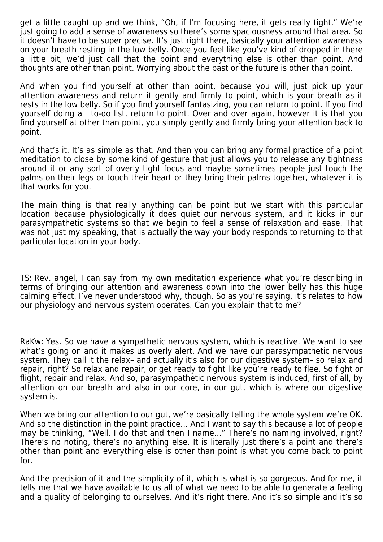get a little caught up and we think, "Oh, if I'm focusing here, it gets really tight." We're just going to add a sense of awareness so there's some spaciousness around that area. So it doesn't have to be super precise. It's just right there, basically your attention awareness on your breath resting in the low belly. Once you feel like you've kind of dropped in there a little bit, we'd just call that the point and everything else is other than point. And thoughts are other than point. Worrying about the past or the future is other than point.

And when you find yourself at other than point, because you will, just pick up your attention awareness and return it gently and firmly to point, which is your breath as it rests in the low belly. So if you find yourself fantasizing, you can return to point. If you find yourself doing a to-do list, return to point. Over and over again, however it is that you find yourself at other than point, you simply gently and firmly bring your attention back to point.

And that's it. It's as simple as that. And then you can bring any formal practice of a point meditation to close by some kind of gesture that just allows you to release any tightness around it or any sort of overly tight focus and maybe sometimes people just touch the palms on their legs or touch their heart or they bring their palms together, whatever it is that works for you.

The main thing is that really anything can be point but we start with this particular location because physiologically it does quiet our nervous system, and it kicks in our parasympathetic systems so that we begin to feel a sense of relaxation and ease. That was not just my speaking, that is actually the way your body responds to returning to that particular location in your body.

TS: Rev. angel, I can say from my own meditation experience what you're describing in terms of bringing our attention and awareness down into the lower belly has this huge calming effect. I've never understood why, though. So as you're saying, it's relates to how our physiology and nervous system operates. Can you explain that to me?

RaKw: Yes. So we have a sympathetic nervous system, which is reactive. We want to see what's going on and it makes us overly alert. And we have our parasympathetic nervous system. They call it the relax– and actually it's also for our digestive system– so relax and repair, right? So relax and repair, or get ready to fight like you're ready to flee. So fight or flight, repair and relax. And so, parasympathetic nervous system is induced, first of all, by attention on our breath and also in our core, in our gut, which is where our digestive system is.

When we bring our attention to our gut, we're basically telling the whole system we're OK. And so the distinction in the point practice… And I want to say this because a lot of people may be thinking, "Well, I do that and then I name…" There's no naming involved, right? There's no noting, there's no anything else. It is literally just there's a point and there's other than point and everything else is other than point is what you come back to point for.

And the precision of it and the simplicity of it, which is what is so gorgeous. And for me, it tells me that we have available to us all of what we need to be able to generate a feeling and a quality of belonging to ourselves. And it's right there. And it's so simple and it's so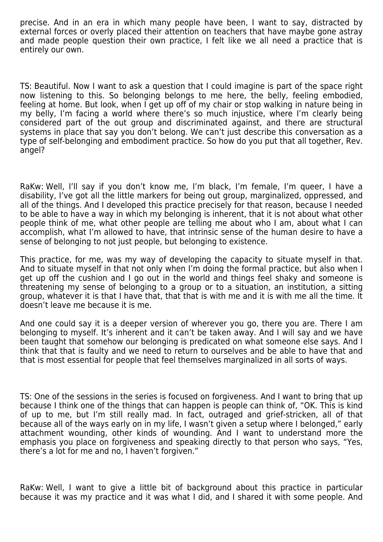precise. And in an era in which many people have been, I want to say, distracted by external forces or overly placed their attention on teachers that have maybe gone astray and made people question their own practice, I felt like we all need a practice that is entirely our own.

TS: Beautiful. Now I want to ask a question that I could imagine is part of the space right now listening to this. So belonging belongs to me here, the belly, feeling embodied, feeling at home. But look, when I get up off of my chair or stop walking in nature being in my belly, I'm facing a world where there's so much injustice, where I'm clearly being considered part of the out group and discriminated against, and there are structural systems in place that say you don't belong. We can't just describe this conversation as a type of self-belonging and embodiment practice. So how do you put that all together, Rev. angel?

RaKw: Well, I'll say if you don't know me, I'm black, I'm female, I'm queer, I have a disability, I've got all the little markers for being out group, marginalized, oppressed, and all of the things. And I developed this practice precisely for that reason, because I needed to be able to have a way in which my belonging is inherent, that it is not about what other people think of me, what other people are telling me about who I am, about what I can accomplish, what I'm allowed to have, that intrinsic sense of the human desire to have a sense of belonging to not just people, but belonging to existence.

This practice, for me, was my way of developing the capacity to situate myself in that. And to situate myself in that not only when I'm doing the formal practice, but also when I get up off the cushion and I go out in the world and things feel shaky and someone is threatening my sense of belonging to a group or to a situation, an institution, a sitting group, whatever it is that I have that, that that is with me and it is with me all the time. It doesn't leave me because it is me.

And one could say it is a deeper version of wherever you go, there you are. There I am belonging to myself. It's inherent and it can't be taken away. And I will say and we have been taught that somehow our belonging is predicated on what someone else says. And I think that that is faulty and we need to return to ourselves and be able to have that and that is most essential for people that feel themselves marginalized in all sorts of ways.

TS: One of the sessions in the series is focused on forgiveness. And I want to bring that up because I think one of the things that can happen is people can think of, "OK. This is kind of up to me, but I'm still really mad. In fact, outraged and grief-stricken, all of that because all of the ways early on in my life, I wasn't given a setup where I belonged," early attachment wounding, other kinds of wounding. And I want to understand more the emphasis you place on forgiveness and speaking directly to that person who says, "Yes, there's a lot for me and no, I haven't forgiven."

RaKw: Well, I want to give a little bit of background about this practice in particular because it was my practice and it was what I did, and I shared it with some people. And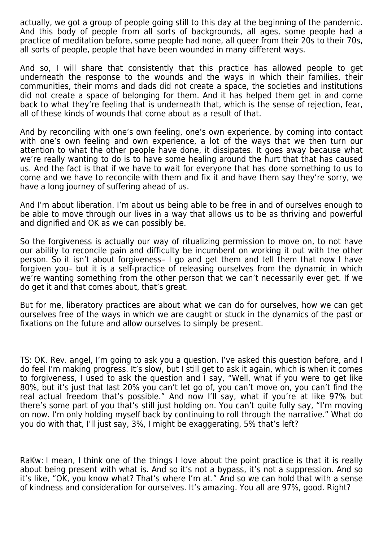actually, we got a group of people going still to this day at the beginning of the pandemic. And this body of people from all sorts of backgrounds, all ages, some people had a practice of meditation before, some people had none, all queer from their 20s to their 70s, all sorts of people, people that have been wounded in many different ways.

And so, I will share that consistently that this practice has allowed people to get underneath the response to the wounds and the ways in which their families, their communities, their moms and dads did not create a space, the societies and institutions did not create a space of belonging for them. And it has helped them get in and come back to what they're feeling that is underneath that, which is the sense of rejection, fear, all of these kinds of wounds that come about as a result of that.

And by reconciling with one's own feeling, one's own experience, by coming into contact with one's own feeling and own experience, a lot of the ways that we then turn our attention to what the other people have done, it dissipates. It goes away because what we're really wanting to do is to have some healing around the hurt that that has caused us. And the fact is that if we have to wait for everyone that has done something to us to come and we have to reconcile with them and fix it and have them say they're sorry, we have a long journey of suffering ahead of us.

And I'm about liberation. I'm about us being able to be free in and of ourselves enough to be able to move through our lives in a way that allows us to be as thriving and powerful and dignified and OK as we can possibly be.

So the forgiveness is actually our way of ritualizing permission to move on, to not have our ability to reconcile pain and difficulty be incumbent on working it out with the other person. So it isn't about forgiveness– I go and get them and tell them that now I have forgiven you– but it is a self-practice of releasing ourselves from the dynamic in which we're wanting something from the other person that we can't necessarily ever get. If we do get it and that comes about, that's great.

But for me, liberatory practices are about what we can do for ourselves, how we can get ourselves free of the ways in which we are caught or stuck in the dynamics of the past or fixations on the future and allow ourselves to simply be present.

TS: OK. Rev. angel, I'm going to ask you a question. I've asked this question before, and I do feel I'm making progress. It's slow, but I still get to ask it again, which is when it comes to forgiveness, I used to ask the question and I say, "Well, what if you were to get like 80%, but it's just that last 20% you can't let go of, you can't move on, you can't find the real actual freedom that's possible." And now I'll say, what if you're at like 97% but there's some part of you that's still just holding on. You can't quite fully say, "I'm moving on now. I'm only holding myself back by continuing to roll through the narrative." What do you do with that, I'll just say, 3%, I might be exaggerating, 5% that's left?

RaKw: I mean, I think one of the things I love about the point practice is that it is really about being present with what is. And so it's not a bypass, it's not a suppression. And so it's like, "OK, you know what? That's where I'm at." And so we can hold that with a sense of kindness and consideration for ourselves. It's amazing. You all are 97%, good. Right?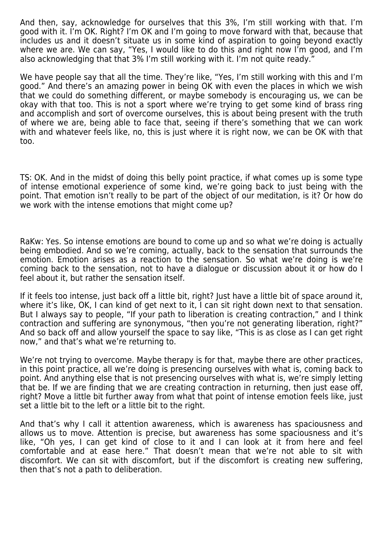And then, say, acknowledge for ourselves that this 3%, I'm still working with that. I'm good with it. I'm OK. Right? I'm OK and I'm going to move forward with that, because that includes us and it doesn't situate us in some kind of aspiration to going beyond exactly where we are. We can say, "Yes, I would like to do this and right now I'm good, and I'm also acknowledging that that 3% I'm still working with it. I'm not quite ready."

We have people say that all the time. They're like, "Yes, I'm still working with this and I'm good." And there's an amazing power in being OK with even the places in which we wish that we could do something different, or maybe somebody is encouraging us, we can be okay with that too. This is not a sport where we're trying to get some kind of brass ring and accomplish and sort of overcome ourselves, this is about being present with the truth of where we are, being able to face that, seeing if there's something that we can work with and whatever feels like, no, this is just where it is right now, we can be OK with that too.

TS: OK. And in the midst of doing this belly point practice, if what comes up is some type of intense emotional experience of some kind, we're going back to just being with the point. That emotion isn't really to be part of the object of our meditation, is it? Or how do we work with the intense emotions that might come up?

RaKw: Yes. So intense emotions are bound to come up and so what we're doing is actually being embodied. And so we're coming, actually, back to the sensation that surrounds the emotion. Emotion arises as a reaction to the sensation. So what we're doing is we're coming back to the sensation, not to have a dialogue or discussion about it or how do I feel about it, but rather the sensation itself.

If it feels too intense, just back off a little bit, right? Just have a little bit of space around it, where it's like, OK, I can kind of get next to it, I can sit right down next to that sensation. But I always say to people, "If your path to liberation is creating contraction," and I think contraction and suffering are synonymous, "then you're not generating liberation, right?" And so back off and allow yourself the space to say like, "This is as close as I can get right now," and that's what we're returning to.

We're not trying to overcome. Maybe therapy is for that, maybe there are other practices, in this point practice, all we're doing is presencing ourselves with what is, coming back to point. And anything else that is not presencing ourselves with what is, we're simply letting that be. If we are finding that we are creating contraction in returning, then just ease off, right? Move a little bit further away from what that point of intense emotion feels like, just set a little bit to the left or a little bit to the right.

And that's why I call it attention awareness, which is awareness has spaciousness and allows us to move. Attention is precise, but awareness has some spaciousness and it's like, "Oh yes, I can get kind of close to it and I can look at it from here and feel comfortable and at ease here." That doesn't mean that we're not able to sit with discomfort. We can sit with discomfort, but if the discomfort is creating new suffering, then that's not a path to deliberation.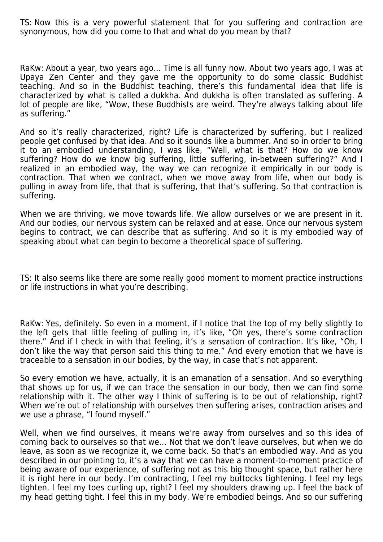TS: Now this is a very powerful statement that for you suffering and contraction are synonymous, how did you come to that and what do you mean by that?

RaKw: About a year, two years ago… Time is all funny now. About two years ago, I was at Upaya Zen Center and they gave me the opportunity to do some classic Buddhist teaching. And so in the Buddhist teaching, there's this fundamental idea that life is characterized by what is called a dukkha. And dukkha is often translated as suffering. A lot of people are like, "Wow, these Buddhists are weird. They're always talking about life as suffering."

And so it's really characterized, right? Life is characterized by suffering, but I realized people get confused by that idea. And so it sounds like a bummer. And so in order to bring it to an embodied understanding, I was like, "Well, what is that? How do we know suffering? How do we know big suffering, little suffering, in-between suffering?" And I realized in an embodied way, the way we can recognize it empirically in our body is contraction. That when we contract, when we move away from life, when our body is pulling in away from life, that that is suffering, that that's suffering. So that contraction is suffering.

When we are thriving, we move towards life. We allow ourselves or we are present in it. And our bodies, our nervous system can be relaxed and at ease. Once our nervous system begins to contract, we can describe that as suffering. And so it is my embodied way of speaking about what can begin to become a theoretical space of suffering.

TS: It also seems like there are some really good moment to moment practice instructions or life instructions in what you're describing.

RaKw: Yes, definitely. So even in a moment, if I notice that the top of my belly slightly to the left gets that little feeling of pulling in, it's like, "Oh yes, there's some contraction there." And if I check in with that feeling, it's a sensation of contraction. It's like, "Oh, I don't like the way that person said this thing to me." And every emotion that we have is traceable to a sensation in our bodies, by the way, in case that's not apparent.

So every emotion we have, actually, it is an emanation of a sensation. And so everything that shows up for us, if we can trace the sensation in our body, then we can find some relationship with it. The other way I think of suffering is to be out of relationship, right? When we're out of relationship with ourselves then suffering arises, contraction arises and we use a phrase, "I found myself."

Well, when we find ourselves, it means we're away from ourselves and so this idea of coming back to ourselves so that we… Not that we don't leave ourselves, but when we do leave, as soon as we recognize it, we come back. So that's an embodied way. And as you described in our pointing to, it's a way that we can have a moment-to-moment practice of being aware of our experience, of suffering not as this big thought space, but rather here it is right here in our body. I'm contracting, I feel my buttocks tightening. I feel my legs tighten. I feel my toes curling up, right? I feel my shoulders drawing up. I feel the back of my head getting tight. I feel this in my body. We're embodied beings. And so our suffering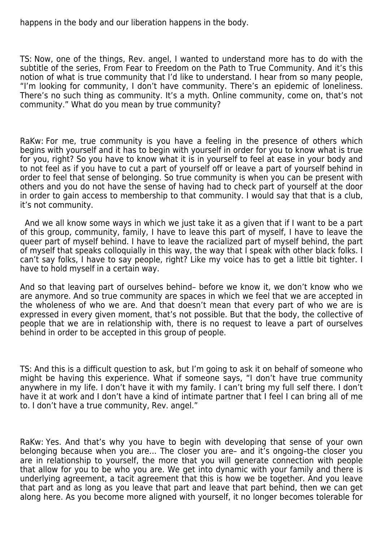happens in the body and our liberation happens in the body.

TS: Now, one of the things, Rev. angel, I wanted to understand more has to do with the subtitle of the series, From Fear to Freedom on the Path to True Community. And it's this notion of what is true community that I'd like to understand. I hear from so many people, "I'm looking for community, I don't have community. There's an epidemic of loneliness. There's no such thing as community. It's a myth. Online community, come on, that's not community." What do you mean by true community?

RaKw: For me, true community is you have a feeling in the presence of others which begins with yourself and it has to begin with yourself in order for you to know what is true for you, right? So you have to know what it is in yourself to feel at ease in your body and to not feel as if you have to cut a part of yourself off or leave a part of yourself behind in order to feel that sense of belonging. So true community is when you can be present with others and you do not have the sense of having had to check part of yourself at the door in order to gain access to membership to that community. I would say that that is a club, it's not community.

 And we all know some ways in which we just take it as a given that if I want to be a part of this group, community, family, I have to leave this part of myself, I have to leave the queer part of myself behind. I have to leave the racialized part of myself behind, the part of myself that speaks colloquially in this way, the way that I speak with other black folks. I can't say folks, I have to say people, right? Like my voice has to get a little bit tighter. I have to hold myself in a certain way.

And so that leaving part of ourselves behind– before we know it, we don't know who we are anymore. And so true community are spaces in which we feel that we are accepted in the wholeness of who we are. And that doesn't mean that every part of who we are is expressed in every given moment, that's not possible. But that the body, the collective of people that we are in relationship with, there is no request to leave a part of ourselves behind in order to be accepted in this group of people.

TS: And this is a difficult question to ask, but I'm going to ask it on behalf of someone who might be having this experience. What if someone says, "I don't have true community anywhere in my life. I don't have it with my family. I can't bring my full self there. I don't have it at work and I don't have a kind of intimate partner that I feel I can bring all of me to. I don't have a true community, Rev. angel."

RaKw: Yes. And that's why you have to begin with developing that sense of your own belonging because when you are… The closer you are– and it's ongoing–the closer you are in relationship to yourself, the more that you will generate connection with people that allow for you to be who you are. We get into dynamic with your family and there is underlying agreement, a tacit agreement that this is how we be together. And you leave that part and as long as you leave that part and leave that part behind, then we can get along here. As you become more aligned with yourself, it no longer becomes tolerable for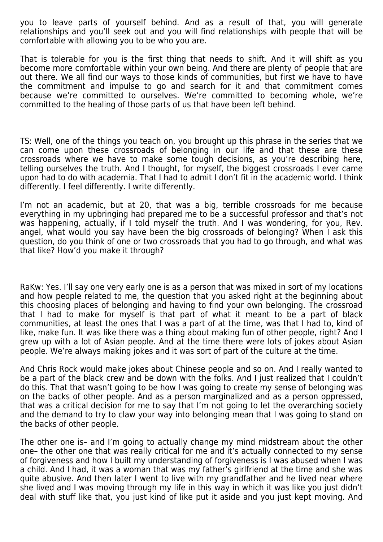you to leave parts of yourself behind. And as a result of that, you will generate relationships and you'll seek out and you will find relationships with people that will be comfortable with allowing you to be who you are.

That is tolerable for you is the first thing that needs to shift. And it will shift as you become more comfortable within your own being. And there are plenty of people that are out there. We all find our ways to those kinds of communities, but first we have to have the commitment and impulse to go and search for it and that commitment comes because we're committed to ourselves. We're committed to becoming whole, we're committed to the healing of those parts of us that have been left behind.

TS: Well, one of the things you teach on, you brought up this phrase in the series that we can come upon these crossroads of belonging in our life and that these are these crossroads where we have to make some tough decisions, as you're describing here, telling ourselves the truth. And I thought, for myself, the biggest crossroads I ever came upon had to do with academia. That I had to admit I don't fit in the academic world. I think differently. I feel differently. I write differently.

I'm not an academic, but at 20, that was a big, terrible crossroads for me because everything in my upbringing had prepared me to be a successful professor and that's not was happening, actually, if I told myself the truth. And I was wondering, for you, Rev. angel, what would you say have been the big crossroads of belonging? When I ask this question, do you think of one or two crossroads that you had to go through, and what was that like? How'd you make it through?

RaKw: Yes. I'll say one very early one is as a person that was mixed in sort of my locations and how people related to me, the question that you asked right at the beginning about this choosing places of belonging and having to find your own belonging. The crossroad that I had to make for myself is that part of what it meant to be a part of black communities, at least the ones that I was a part of at the time, was that I had to, kind of like, make fun. It was like there was a thing about making fun of other people, right? And I grew up with a lot of Asian people. And at the time there were lots of jokes about Asian people. We're always making jokes and it was sort of part of the culture at the time.

And Chris Rock would make jokes about Chinese people and so on. And I really wanted to be a part of the black crew and be down with the folks. And I just realized that I couldn't do this. That that wasn't going to be how I was going to create my sense of belonging was on the backs of other people. And as a person marginalized and as a person oppressed, that was a critical decision for me to say that I'm not going to let the overarching society and the demand to try to claw your way into belonging mean that I was going to stand on the backs of other people.

The other one is– and I'm going to actually change my mind midstream about the other one– the other one that was really critical for me and it's actually connected to my sense of forgiveness and how I built my understanding of forgiveness is I was abused when I was a child. And I had, it was a woman that was my father's girlfriend at the time and she was quite abusive. And then later I went to live with my grandfather and he lived near where she lived and I was moving through my life in this way in which it was like you just didn't deal with stuff like that, you just kind of like put it aside and you just kept moving. And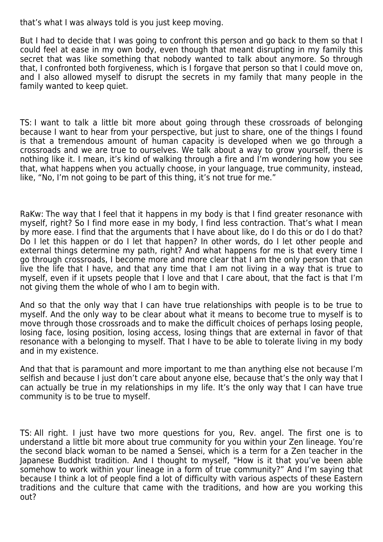that's what I was always told is you just keep moving.

But I had to decide that I was going to confront this person and go back to them so that I could feel at ease in my own body, even though that meant disrupting in my family this secret that was like something that nobody wanted to talk about anymore. So through that, I confronted both forgiveness, which is I forgave that person so that I could move on, and I also allowed myself to disrupt the secrets in my family that many people in the family wanted to keep quiet.

TS: I want to talk a little bit more about going through these crossroads of belonging because I want to hear from your perspective, but just to share, one of the things I found is that a tremendous amount of human capacity is developed when we go through a crossroads and we are true to ourselves. We talk about a way to grow yourself, there is nothing like it. I mean, it's kind of walking through a fire and I'm wondering how you see that, what happens when you actually choose, in your language, true community, instead, like, "No, I'm not going to be part of this thing, it's not true for me."

RaKw: The way that I feel that it happens in my body is that I find greater resonance with myself, right? So I find more ease in my body, I find less contraction. That's what I mean by more ease. I find that the arguments that I have about like, do I do this or do I do that? Do I let this happen or do I let that happen? In other words, do I let other people and external things determine my path, right? And what happens for me is that every time I go through crossroads, I become more and more clear that I am the only person that can live the life that I have, and that any time that I am not living in a way that is true to myself, even if it upsets people that I love and that I care about, that the fact is that I'm not giving them the whole of who I am to begin with.

And so that the only way that I can have true relationships with people is to be true to myself. And the only way to be clear about what it means to become true to myself is to move through those crossroads and to make the difficult choices of perhaps losing people, losing face, losing position, losing access, losing things that are external in favor of that resonance with a belonging to myself. That I have to be able to tolerate living in my body and in my existence.

And that that is paramount and more important to me than anything else not because I'm selfish and because I just don't care about anyone else, because that's the only way that I can actually be true in my relationships in my life. It's the only way that I can have true community is to be true to myself.

TS: All right. I just have two more questions for you, Rev. angel. The first one is to understand a little bit more about true community for you within your Zen lineage. You're the second black woman to be named a Sensei, which is a term for a Zen teacher in the Japanese Buddhist tradition. And I thought to myself, "How is it that you've been able somehow to work within your lineage in a form of true community?" And I'm saying that because I think a lot of people find a lot of difficulty with various aspects of these Eastern traditions and the culture that came with the traditions, and how are you working this out?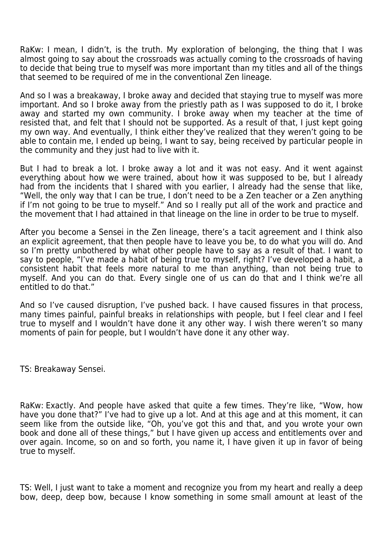RaKw: I mean, I didn't, is the truth. My exploration of belonging, the thing that I was almost going to say about the crossroads was actually coming to the crossroads of having to decide that being true to myself was more important than my titles and all of the things that seemed to be required of me in the conventional Zen lineage.

And so I was a breakaway, I broke away and decided that staying true to myself was more important. And so I broke away from the priestly path as I was supposed to do it, I broke away and started my own community. I broke away when my teacher at the time of resisted that, and felt that I should not be supported. As a result of that, I just kept going my own way. And eventually, I think either they've realized that they weren't going to be able to contain me, I ended up being, I want to say, being received by particular people in the community and they just had to live with it.

But I had to break a lot. I broke away a lot and it was not easy. And it went against everything about how we were trained, about how it was supposed to be, but I already had from the incidents that I shared with you earlier, I already had the sense that like, "Well, the only way that I can be true, I don't need to be a Zen teacher or a Zen anything if I'm not going to be true to myself." And so I really put all of the work and practice and the movement that I had attained in that lineage on the line in order to be true to myself.

After you become a Sensei in the Zen lineage, there's a tacit agreement and I think also an explicit agreement, that then people have to leave you be, to do what you will do. And so I'm pretty unbothered by what other people have to say as a result of that. I want to say to people, "I've made a habit of being true to myself, right? I've developed a habit, a consistent habit that feels more natural to me than anything, than not being true to myself. And you can do that. Every single one of us can do that and I think we're all entitled to do that."

And so I've caused disruption, I've pushed back. I have caused fissures in that process, many times painful, painful breaks in relationships with people, but I feel clear and I feel true to myself and I wouldn't have done it any other way. I wish there weren't so many moments of pain for people, but I wouldn't have done it any other way.

TS: Breakaway Sensei.

RaKw: Exactly. And people have asked that quite a few times. They're like, "Wow, how have you done that?" I've had to give up a lot. And at this age and at this moment, it can seem like from the outside like, "Oh, you've got this and that, and you wrote your own book and done all of these things," but I have given up access and entitlements over and over again. Income, so on and so forth, you name it, I have given it up in favor of being true to myself.

TS: Well, I just want to take a moment and recognize you from my heart and really a deep bow, deep, deep bow, because I know something in some small amount at least of the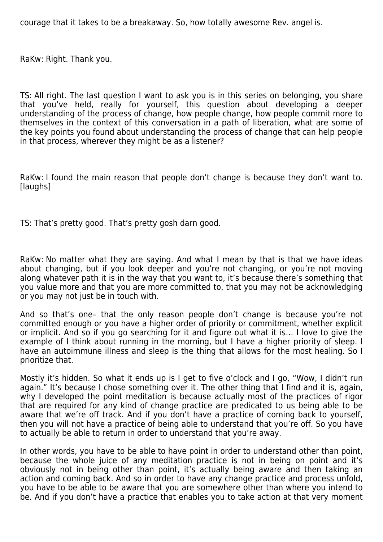courage that it takes to be a breakaway. So, how totally awesome Rev. angel is.

RaKw: Right. Thank you.

TS: All right. The last question I want to ask you is in this series on belonging, you share that you've held, really for yourself, this question about developing a deeper understanding of the process of change, how people change, how people commit more to themselves in the context of this conversation in a path of liberation, what are some of the key points you found about understanding the process of change that can help people in that process, wherever they might be as a listener?

RaKw: I found the main reason that people don't change is because they don't want to. [laughs]

TS: That's pretty good. That's pretty gosh darn good.

RaKw: No matter what they are saying. And what I mean by that is that we have ideas about changing, but if you look deeper and you're not changing, or you're not moving along whatever path it is in the way that you want to, it's because there's something that you value more and that you are more committed to, that you may not be acknowledging or you may not just be in touch with.

And so that's one– that the only reason people don't change is because you're not committed enough or you have a higher order of priority or commitment, whether explicit or implicit. And so if you go searching for it and figure out what it is… I love to give the example of I think about running in the morning, but I have a higher priority of sleep. I have an autoimmune illness and sleep is the thing that allows for the most healing. So I prioritize that.

Mostly it's hidden. So what it ends up is I get to five o'clock and I go, "Wow, I didn't run again." It's because I chose something over it. The other thing that I find and it is, again, why I developed the point meditation is because actually most of the practices of rigor that are required for any kind of change practice are predicated to us being able to be aware that we're off track. And if you don't have a practice of coming back to yourself, then you will not have a practice of being able to understand that you're off. So you have to actually be able to return in order to understand that you're away.

In other words, you have to be able to have point in order to understand other than point, because the whole juice of any meditation practice is not in being on point and it's obviously not in being other than point, it's actually being aware and then taking an action and coming back. And so in order to have any change practice and process unfold, you have to be able to be aware that you are somewhere other than where you intend to be. And if you don't have a practice that enables you to take action at that very moment